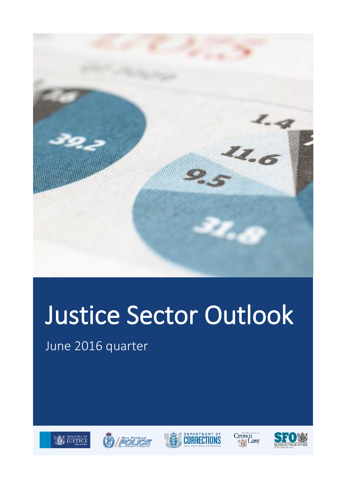

# Justice Sector Outlook

June 2016 quarter









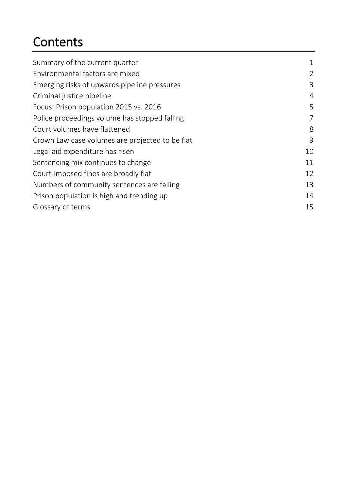### **Contents**

| Summary of the current quarter                  | 1  |
|-------------------------------------------------|----|
| Environmental factors are mixed                 | 2  |
| Emerging risks of upwards pipeline pressures    | 3  |
| Criminal justice pipeline                       | 4  |
| Focus: Prison population 2015 vs. 2016          | 5  |
| Police proceedings volume has stopped falling   | 7  |
| Court volumes have flattened                    | 8  |
| Crown Law case volumes are projected to be flat | 9  |
| Legal aid expenditure has risen                 | 10 |
| Sentencing mix continues to change              | 11 |
| Court-imposed fines are broadly flat            | 12 |
| Numbers of community sentences are falling      | 13 |
| Prison population is high and trending up       | 14 |
| Glossary of terms                               | 15 |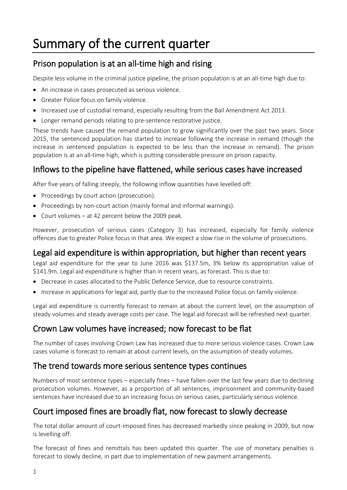### <span id="page-2-0"></span>Summary of the current quarter

#### Prison population is at an all-time high and rising

Despite less volume in the criminal justice pipeline, the prison population is at an all-time high due to:

- An increase in cases prosecuted as serious violence.
- Greater Police focus on family violence.
- Increased use of custodial remand, especially resulting from the Bail Amendment Act 2013.
- Longer remand periods relating to pre-sentence restorative justice.

These trends have caused the remand population to grow significantly over the past two years. Since 2015, the sentenced population has started to increase following the increase in remand (though the increase in sentenced population is expected to be less than the increase in remand). The prison population is at an all-time high, which is putting considerable pressure on prison capacity.

#### Inflows to the pipeline have flattened, while serious cases have increased

After five years of falling steeply, the following inflow quantities have levelled off:

- Proceedings by court action (prosecution).
- Proceedings by non-court action (mainly formal and informal warnings).
- Court volumes at 42 percent below the 2009 peak.

However, prosecution of serious cases (Category 3) has increased, especially for family violence offences due to greater Police focus in that area. We expect a slow rise in the volume of prosecutions.

#### Legal aid expenditure is within appropriation, but higher than recent years

Legal aid expenditure for the year to June 2016 was \$137.5m, 3% below its appropriation value of \$141.9m. Legal aid expenditure is higher than in recent years, as forecast. This is due to:

- Decrease in cases allocated to the Public Defence Service, due to resource constraints.
- Increase in applications for legal aid, partly due to the increased Police focus on family violence.

Legal aid expenditure is currently forecast to remain at about the current level, on the assumption of steady volumes and steady average costs per case. The legal aid forecast will be refreshed next quarter.

#### Crown Law volumes have increased; now forecast to be flat

The number of cases involving Crown Law has increased due to more serious violence cases. Crown Law cases volume is forecast to remain at about current levels, on the assumption of steady volumes.

#### The trend towards more serious sentence types continues

Numbers of most sentence types – especially fines – have fallen over the last few years due to declining prosecution volumes. However, as a proportion of all sentences, imprisonment and community-based sentences have increased due to an increasing focus on serious cases, particularly serious violence.

#### Court imposed fines are broadly flat, now forecast to slowly decrease

The total dollar amount of court-imposed fines has decreased markedly since peaking in 2009, but now is levelling off.

The forecast of fines and remittals has been updated this quarter. The use of monetary penalties is forecast to slowly decline, in part due to implementation of new payment arrangements.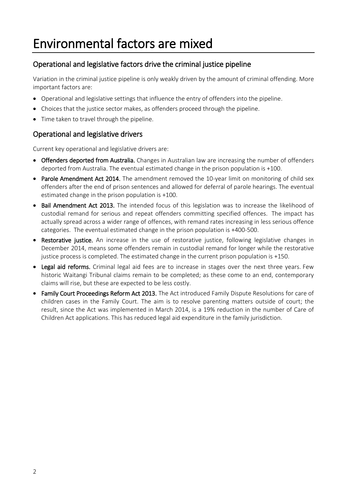### <span id="page-3-0"></span>Environmental factors are mixed

#### Operational and legislative factors drive the criminal justice pipeline

Variation in the criminal justice pipeline is only weakly driven by the amount of criminal offending. More important factors are:

- Operational and legislative settings that influence the entry of offenders into the pipeline.
- Choices that the justice sector makes, as offenders proceed through the pipeline.
- Time taken to travel through the pipeline.

#### Operational and legislative drivers

Current key operational and legislative drivers are:

- Offenders deported from Australia. Changes in Australian law are increasing the number of offenders deported from Australia. The eventual estimated change in the prison population is +100.
- Parole Amendment Act 2014. The amendment removed the 10-year limit on monitoring of child sex offenders after the end of prison sentences and allowed for deferral of parole hearings. The eventual estimated change in the prison population is +100.
- Bail Amendment Act 2013. The intended focus of this legislation was to increase the likelihood of custodial remand for serious and repeat offenders committing specified offences. The impact has actually spread across a wider range of offences, with remand rates increasing in less serious offence categories. The eventual estimated change in the prison population is +400-500.
- Restorative justice. An increase in the use of restorative justice, following legislative changes in December 2014, means some offenders remain in custodial remand for longer while the restorative justice process is completed. The estimated change in the current prison population is +150.
- Legal aid reforms. Criminal legal aid fees are to increase in stages over the next three years. Few historic Waitangi Tribunal claims remain to be completed; as these come to an end, contemporary claims will rise, but these are expected to be less costly.
- Family Court Proceedings Reform Act 2013. The Act introduced Family Dispute Resolutions for care of children cases in the Family Court. The aim is to resolve parenting matters outside of court; the result, since the Act was implemented in March 2014, is a 19% reduction in the number of Care of Children Act applications. This has reduced legal aid expenditure in the family jurisdiction.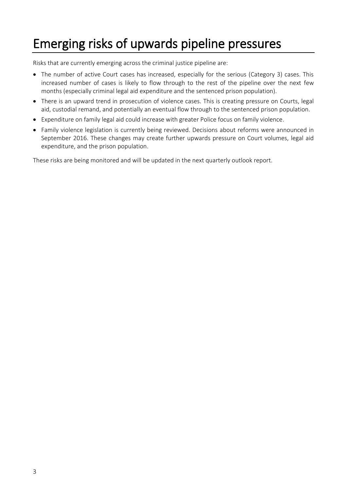### <span id="page-4-0"></span>Emerging risks of upwards pipeline pressures

Risks that are currently emerging across the criminal justice pipeline are:

- The number of active Court cases has increased, especially for the serious (Category 3) cases. This increased number of cases is likely to flow through to the rest of the pipeline over the next few months (especially criminal legal aid expenditure and the sentenced prison population).
- There is an upward trend in prosecution of violence cases. This is creating pressure on Courts, legal aid, custodial remand, and potentially an eventual flow through to the sentenced prison population.
- Expenditure on family legal aid could increase with greater Police focus on family violence.
- Family violence legislation is currently being reviewed. Decisions about reforms were announced in September 2016. These changes may create further upwards pressure on Court volumes, legal aid expenditure, and the prison population.

These risks are being monitored and will be updated in the next quarterly outlook report.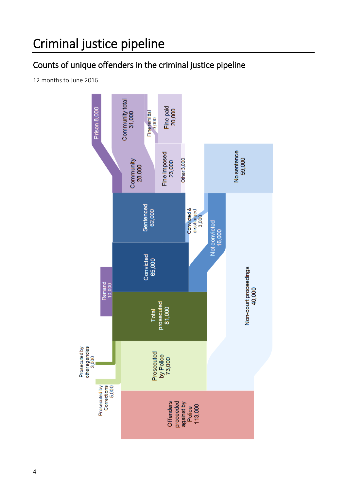### <span id="page-5-0"></span>Criminal justice pipeline

### Counts of unique offenders in the criminal justice pipeline

12 months to June 2016

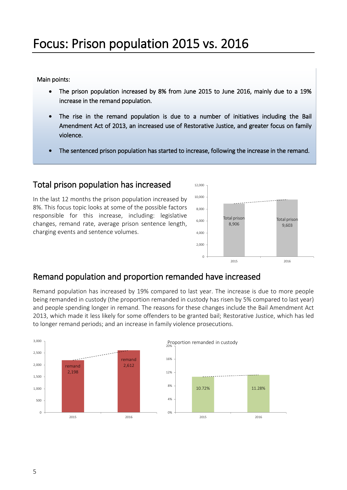#### <span id="page-6-0"></span>Main points:

- The prison population increased by 8% from June 2015 to June 2016, mainly due to a 19% increase in the remand population.
- The rise in the remand population is due to a number of initiatives including the Bail Amendment Act of 2013, an increased use of Restorative Justice, and greater focus on family violence.
- The sentenced prison population has started to increase, following the increase in the remand.

#### Total prison population has increased

In the last 12 months the prison population increased by 8%. This focus topic looks at some of the possible factors responsible for this increase, including: legislative changes, remand rate, average prison sentence length, charging events and sentence volumes.



#### Remand population and proportion remanded have increased

Remand population has increased by 19% compared to last year. The increase is due to more people being remanded in custody (the proportion remanded in custody has risen by 5% compared to last year) and people spending longer in remand. The reasons for these changes include the Bail Amendment Act 2013, which made it less likely for some offenders to be granted bail; Restorative Justice, which has led to longer remand periods; and an increase in family violence prosecutions.

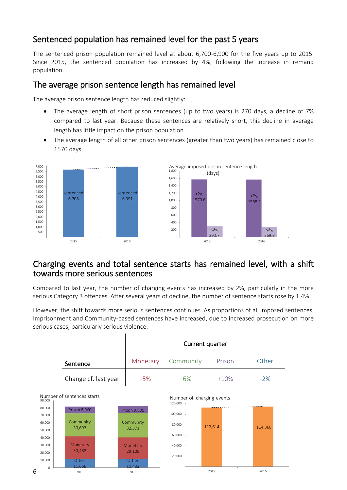#### Sentenced population has remained level for the past 5 years

The sentenced prison population remained level at about 6,700-6,900 for the five years up to 2015. Since 2015, the sentenced population has increased by 4%, following the increase in remand population.

#### The average prison sentence length has remained level

The average prison sentence length has reduced slightly:

- The average length of short prison sentences (up to two years) is 270 days, a decline of 7% compared to last year. Because these sentences are relatively short, this decline in average length has little impact on the prison population.
- The average length of all other prison sentences (greater than two years) has remained close to 1570 days.



#### Charging events and total sentence starts has remained level, with a shift towards more serious sentences

Compared to last year, the number of charging events has increased by 2%, particularly in the more serious Category 3 offences. After several years of decline, the number of sentence starts rose by 1.4%.

However, the shift towards more serious sentences continues. As proportions of all imposed sentences, Imprisonment and Community-based sentences have increased, due to increased prosecution on more serious cases, particularly serious violence.

|                      | Current quarter |                    |        |       |  |  |
|----------------------|-----------------|--------------------|--------|-------|--|--|
| Sentence             |                 | Monetary Community | Prison | Other |  |  |
| Change cf. last year | $-5%$           | $+6%$              | $+10%$ | $-2%$ |  |  |

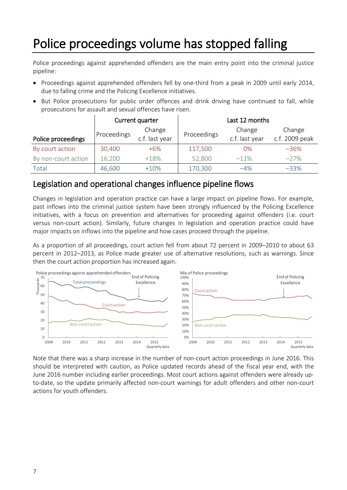### <span id="page-8-0"></span>Police proceedings volume has stopped falling

Police proceedings against apprehended offenders are the main entry point into the criminal justice pipeline:

- Proceedings against apprehended offenders fell by one-third from a peak in 2009 until early 2014, due to falling crime and the Policing Excellence initiatives.
- But Police prosecutions for public order offences and drink driving have continued to fall, while prosecutions for assault and sexual offences have risen.

|                     |                       | Current quarter | Last 12 months |                |                |  |
|---------------------|-----------------------|-----------------|----------------|----------------|----------------|--|
|                     | Change<br>Proceedings |                 | Proceedings    | Change         | Change         |  |
| Police proceedings  |                       | c.f. last year  |                | c.f. last year | c.f. 2009 peak |  |
| By court action     | 30,400                | $+6\%$          | 117,500        | 0%             | $-36%$         |  |
| By non-court action | 16,200                | $+18%$          | 52,800         | $-11%$         | $-27%$         |  |
| Total               | 46,600                | $+10%$          | 170,300        | $-4%$          | $-33%$         |  |

#### Legislation and operational changes influence pipeline flows

Changes in legislation and operation practice can have a large impact on pipeline flows. For example, past inflows into the criminal justice system have been strongly influenced by the Policing Excellence initiatives, with a focus on prevention and alternatives for proceeding against offenders (i.e. court versus non-court action). Similarly, future changes in legislation and operation practice could have major impacts on inflows into the pipeline and how cases proceed through the pipeline.

As a proportion of all proceedings, court action fell from about 72 percent in 2009–2010 to about 63 percent in 2012–2013, as Police made greater use of alternative resolutions, such as warnings. Since then the court action proportion has increased again.



Note that there was a sharp increase in the number of non-court action proceedings in June 2016. This should be interpreted with caution, as Police updated records ahead of the fiscal year end, with the June 2016 number including earlier proceedings. Most court actions against offenders were already upto-date, so the update primarily affected non-court warnings for adult offenders and other non-court actions for youth offenders.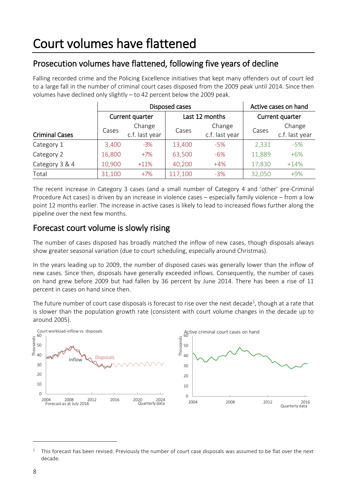### <span id="page-9-0"></span>Prosecution volumes have flattened, following five years of decline

Falling recorded crime and the Policing Excellence initiatives that kept many offenders out of court led to a large fall in the number of criminal court cases disposed from the 2009 peak until 2014. Since then volumes have declined only slightly – to 42 percent below the 2009 peak.

|                       |                                                      | Disposed cases | Active cases on hand |                          |                 |                          |
|-----------------------|------------------------------------------------------|----------------|----------------------|--------------------------|-----------------|--------------------------|
|                       | Current quarter<br>Change<br>Cases<br>c.f. last year |                |                      | Last 12 months           | Current quarter |                          |
| <b>Criminal Cases</b> |                                                      |                | Cases                | Change<br>c.f. last year | Cases           | Change<br>c.f. last year |
| Category 1            | 3,400                                                | $-3%$          | 13,400               | $-5%$                    | 2,331           | $-5%$                    |
| Category 2            | 16,800                                               | $+7\%$         | 63,500               | $-6%$                    | 11,889          | $+6%$                    |
| Category 3 & 4        | 10,900                                               | $+11%$         | 40,200               | $+4%$                    | 17,830          | $+14%$                   |
| Total                 | 31,100                                               | $+7%$          | 117,100              | $-3%$                    | 32,050          | $+9%$                    |

The recent increase in Category 3 cases (and a small number of Category 4 and 'other' pre-Criminal Procedure Act cases) is driven by an increase in violence cases – especially family violence – from a low point 12 months earlier. The increase in active cases is likely to lead to increased flows further along the pipeline over the next few months.

#### Forecast court volume is slowly rising

The number of cases disposed has broadly matched the inflow of new cases, though disposals always show greater seasonal variation (due to court scheduling, especially around Christmas).

In the years leading up to 2009, the number of disposed cases was generally lower than the inflow of new cases. Since then, disposals have generally exceeded inflows. Consequently, the number of cases on hand grew before 2009 but had fallen by 36 percent by June 2014. There has been a rise of 11 percent in cases on hand since then.

The future number of court case disposals is forecast to rise over the next decade<sup>1</sup>, though at a rate that is slower than the population growth rate (consistent with court volume changes in the decade up to around 2005).



1

<sup>1</sup> This forecast has been revised. Previously the number of court case disposals was assumed to be flat over the next decade.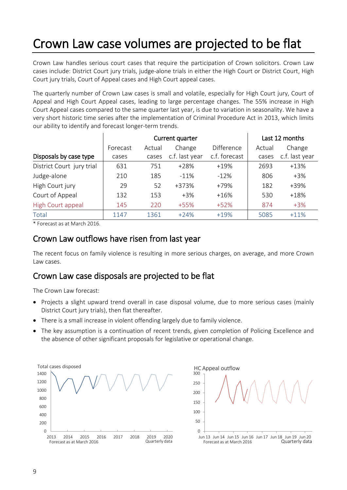### <span id="page-10-0"></span>Crown Law case volumes are projected to be flat

Crown Law handles serious court cases that require the participation of Crown solicitors. Crown Law cases include: District Court jury trials, judge-alone trials in either the High Court or District Court, High Court jury trials, Court of Appeal cases and High Court appeal cases.

The quarterly number of Crown Law cases is small and volatile, especially for High Court jury, Court of Appeal and High Court Appeal cases, leading to large percentage changes. The 55% increase in High Court Appeal cases compared to the same quarter last year, is due to variation in seasonality. We have a very short historic time series after the implementation of Criminal Procedure Act in 2013, which limits our ability to identify and forecast longer-term trends.

|                           |          | Current quarter |                | Last 12 months    |        |                |
|---------------------------|----------|-----------------|----------------|-------------------|--------|----------------|
|                           | Forecast | Actual          | Change         | <b>Difference</b> | Actual | Change         |
| Disposals by case type    | cases    | cases           | c.f. last year | c.f. forecast     | cases  | c.f. last year |
| District Court jury trial | 631      | 751             | $+28%$         | $+19%$            | 2693   | $+13%$         |
| Judge-alone               | 210      | 185             | $-11%$         | $-12%$            | 806    | $+3\%$         |
| High Court jury           | 29       | 52              | +373%          | +79%              | 182    | +39%           |
| Court of Appeal           | 132      | 153             | $+3\%$         | $+16%$            | 530    | $+18%$         |
| High Court appeal         | 145      | 220             | $+55%$         | $+52%$            | 874    | $+3%$          |
| Total                     | 1147     | 1361            | $+24%$         | $+19%$            | 5085   | $+11%$         |

\* Forecast as at March 2016.

#### Crown Law outflows have risen from last year

The recent focus on family violence is resulting in more serious charges, on average, and more Crown Law cases.

#### Crown Law case disposals are projected to be flat

The Crown Law forecast:

- Projects a slight upward trend overall in case disposal volume, due to more serious cases (mainly District Court jury trials), then flat thereafter.
- There is a small increase in violent offending largely due to family violence.
- The key assumption is a continuation of recent trends, given completion of Policing Excellence and the absence of other significant proposals for legislative or operational change.



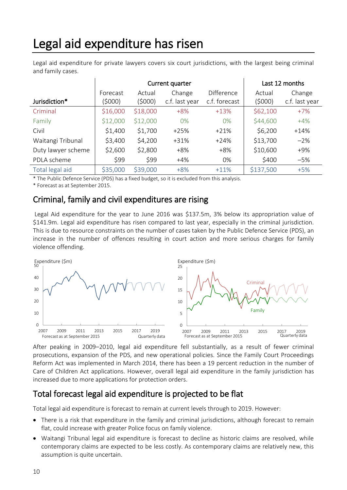### <span id="page-11-0"></span>Legal aid expenditure has risen

Legal aid expenditure for private lawyers covers six court jurisdictions, with the largest being criminal and family cases.

|                    |          | Current quarter |                | Last 12 months    |           |                |
|--------------------|----------|-----------------|----------------|-------------------|-----------|----------------|
|                    | Forecast | Actual          | Change         | <b>Difference</b> | Actual    | Change         |
| Jurisdiction*      | (\$000)  | (\$000)         | c.f. last year | c.f. forecast     | (\$000)   | c.f. last year |
| Criminal           | \$16,000 | \$18,000        | $+8%$          | $+13%$            | \$62,100  | $+7%$          |
| Family             | \$12,000 | \$12,000        | $0\%$          | $0\%$             | \$44,600  | $+4%$          |
| Civil              | \$1,400  | \$1,700         | $+25%$         | $+21%$            | \$6,200   | $+14%$         |
| Waitangi Tribunal  | \$3,400  | \$4,200         | $+31%$         | $+24%$            | \$13,700  | $-2%$          |
| Duty lawyer scheme | \$2,600  | \$2,800         | $+8%$          | $+8%$             | \$10,600  | $+9%$          |
| PDLA scheme        | \$99     | \$99            | $+4%$          | 0%                | \$400     | $-5%$          |
| Total legal aid    | \$35,000 | \$39,000        | $+8%$          | $+11%$            | \$137,500 | $+5%$          |

\* The Public Defence Service (PDS) has a fixed budget, so it is excluded from this analysis.

\* Forecast as at September 2015.

#### Criminal, family and civil expenditures are rising

Legal Aid expenditure for the year to June 2016 was \$137.5m, 3% below its appropriation value of \$141.9m. Legal aid expenditure has risen compared to last year, especially in the criminal jurisdiction. This is due to resource constraints on the number of cases taken by the Public Defence Service (PDS), an increase in the number of offences resulting in court action and more serious charges for family violence offending.



After peaking in 2009–2010, legal aid expenditure fell substantially, as a result of fewer criminal prosecutions, expansion of the PDS, and new operational policies. Since the Family Court Proceedings Reform Act was implemented in March 2014, there has been a 19 percent reduction in the number of Care of Children Act applications. However, overall legal aid expenditure in the family jurisdiction has increased due to more applications for protection orders.

### Total forecast legal aid expenditure is projected to be flat

Total legal aid expenditure is forecast to remain at current levels through to 2019. However:

- There is a risk that expenditure in the family and criminal jurisdictions, although forecast to remain flat, could increase with greater Police focus on family violence.
- Waitangi Tribunal legal aid expenditure is forecast to decline as historic claims are resolved, while contemporary claims are expected to be less costly. As contemporary claims are relatively new, this assumption is quite uncertain.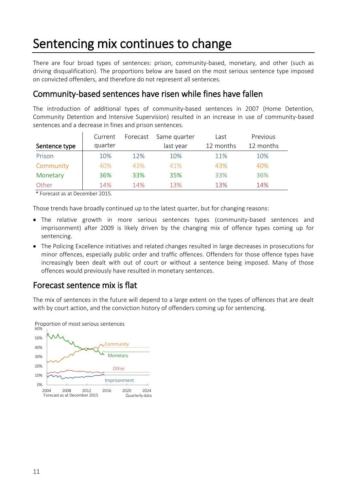### <span id="page-12-0"></span>Sentencing mix continues to change

There are four broad types of sentences: prison, community-based, monetary, and other (such as driving disqualification). The proportions below are based on the most serious sentence type imposed on convicted offenders, and therefore do not represent all sentences.

#### Community-based sentences have risen while fines have fallen

The introduction of additional types of community-based sentences in 2007 (Home Detention, Community Detention and Intensive Supervision) resulted in an increase in use of community-based sentences and a decrease in fines and prison sentences.

|               | Current | Forecast | Same quarter | Last      | Previous  |
|---------------|---------|----------|--------------|-----------|-----------|
| Sentence type | quarter |          | last year    | 12 months | 12 months |
| Prison        | 10%     | 12%      | 10%          | 11%       | 10%       |
| Community     | 40%     | 43%      | 41%          | 43%       | 40%       |
| Monetary      | 36%     | 33%      | 35%          | 33%       | 36%       |
| Other         | 14%     | 14%      | 13%          | 13%       | 14%       |

\* Forecast as at December 2015.

Those trends have broadly continued up to the latest quarter, but for changing reasons:

- The relative growth in more serious sentences types (community-based sentences and imprisonment) after 2009 is likely driven by the changing mix of offence types coming up for sentencing.
- The Policing Excellence initiatives and related changes resulted in large decreases in prosecutions for minor offences, especially public order and traffic offences. Offenders for those offence types have increasingly been dealt with out of court or without a sentence being imposed. Many of those offences would previously have resulted in monetary sentences.

#### Forecast sentence mix is flat

The mix of sentences in the future will depend to a large extent on the types of offences that are dealt with by court action, and the conviction history of offenders coming up for sentencing.



Proportion of most serious sentences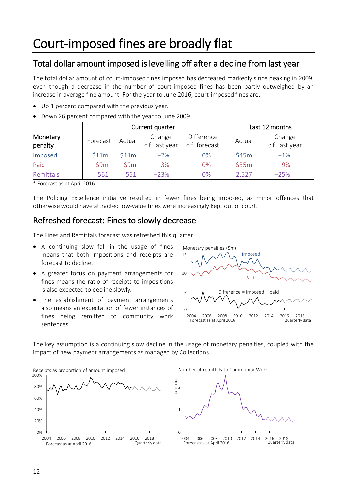#### <span id="page-13-0"></span>Total dollar amount imposed is levelling off after a decline from last year

The total dollar amount of court-imposed fines imposed has decreased markedly since peaking in 2009, even though a decrease in the number of court-imposed fines has been partly outweighed by an increase in average fine amount. For the year to June 2016, court-imposed fines are:

- Up 1 percent compared with the previous year.
- Down 26 percent compared with the year to June 2009.

|                     |          |        | Current quarter          |                                    | Last 12 months |                          |
|---------------------|----------|--------|--------------------------|------------------------------------|----------------|--------------------------|
| Monetary<br>penalty | Forecast | Actual | Change<br>c.f. last year | <b>Difference</b><br>c.f. forecast | Actual         | Change<br>c.f. last year |
| Imposed             | \$11m    | \$11m  | $+2%$                    | 0%                                 | \$45m          | $+1%$                    |
| Paid                | 59m      | 59m    | $-3%$                    | 0%                                 | \$35m          | $-9%$                    |
| Remittals           | 561      | 561    | $-23%$                   | $0\%$                              | 2,527          | $-25%$                   |

\* Forecast as at April 2016.

The Policing Excellence initiative resulted in fewer fines being imposed, as minor offences that otherwise would have attracted low-value fines were increasingly kept out of court.

#### Refreshed forecast: Fines to slowly decrease

The Fines and Remittals forecast was refreshed this quarter:

- A continuing slow fall in the usage of fines means that both impositions and receipts are forecast to decline.
- A greater focus on payment arrangements for fines means the ratio of receipts to impositions is also expected to decline slowly.
- The establishment of payment arrangements also means an expectation of fewer instances of fines being remitted to community work sentences.



The key assumption is a continuing slow decline in the usage of monetary penalties, coupled with the impact of new payment arrangements as managed by Collections.



Number of remittals to Community Work

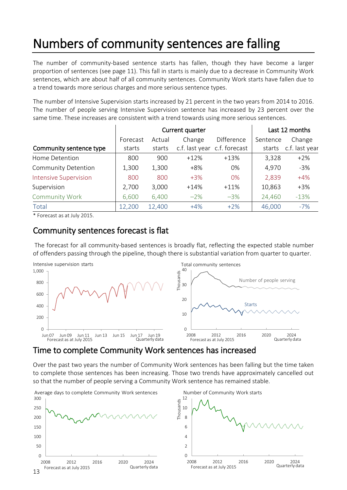# <span id="page-14-0"></span>Numbers of community sentences are falling

The number of community-based sentence starts has fallen, though they have become a larger proportion of sentences (see page 11). This fall in starts is mainly due to a decrease in Community Work sentences, which are about half of all community sentences. Community Work starts have fallen due to a trend towards more serious charges and more serious sentence types.

The number of Intensive Supervision starts increased by 21 percent in the two years from 2014 to 2016. The number of people serving Intensive Supervision sentence has increased by 23 percent over the same time. These increases are consistent with a trend towards using more serious sentences.

|                              |          | Current quarter | Last 12 months |                              |          |                |
|------------------------------|----------|-----------------|----------------|------------------------------|----------|----------------|
|                              | Forecast | Actual          | Change         | Difference                   | Sentence | Change         |
| Community sentence type      | starts   | starts          |                | c.f. last year c.f. forecast | starts   | c.f. last year |
| Home Detention               | 800      | 900             | $+12%$         | $+13%$                       | 3,328    | $+2%$          |
| <b>Community Detention</b>   | 1,300    | 1,300           | $+8%$          | 0%                           | 4,970    | $-3%$          |
| <b>Intensive Supervision</b> | 800      | 800             | $+3\%$         | $0\%$                        | 2,839    | $+4%$          |
| Supervision                  | 2,700    | 3,000           | $+14%$         | $+11\%$                      | 10,863   | $+3%$          |
| <b>Community Work</b>        | 6,600    | 6,400           | $-2\%$         | $-3%$                        | 24,460   | $-13%$         |
| Total                        | 12,200   | 12,400          | $+4%$          | $+2\%$                       | 46,000   | $-7%$          |

\* Forecast as at July 2015.

#### Community sentences forecast is flat

The forecast for all community-based sentences is broadly flat, reflecting the expected stable number of offenders passing through the pipeline, though there is substantial variation from quarter to quarter.



#### Time to complete Community Work sentences has increased

Over the past two years the number of Community Work sentences has been falling but the time taken to complete those sentences has been increasing. Those two trends have approximately cancelled out so that the number of people serving a Community Work sentence has remained stable.



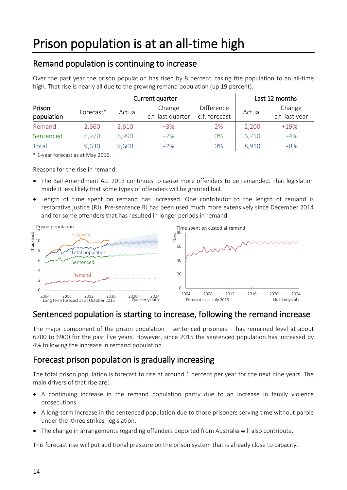#### <span id="page-15-0"></span>Remand population is continuing to increase

Over the past year the prison population has risen by 8 percent, taking the population to an all-time high. That rise is nearly all due to the growing remand population (up 19 percent).

|                      |           | Current quarter |                             | Last 12 months                     |        |                          |
|----------------------|-----------|-----------------|-----------------------------|------------------------------------|--------|--------------------------|
| Prison<br>population | Forecast* | Actual          | Change<br>c.f. last quarter | <b>Difference</b><br>c.f. forecast | Actual | Change<br>c.f. last year |
| Remand               | 2,660     | 2,610           | $+3\%$                      | $-2%$                              | 2,200  | $+19%$                   |
| Sentenced            | 6,970     | 6,990           | $+2\%$                      | 0%                                 | 6,710  | $+4%$                    |
| Total                | 9,630     | 9,600           | $+2\%$                      | 0%                                 | 8,910  | $+8%$                    |

\* 1-year forecast as at May 2016.

Reasons for the rise in remand:

- The Bail Amendment Act 2013 continues to cause more offenders to be remanded. That legislation made it less likely that some types of offenders will be granted bail.
- Length of time spent on remand has increased. One contributor to the length of remand is restorative justice (RJ). Pre-sentence RJ has been used much more extensively since December 2014 and for some offenders that has resulted in longer periods in remand.



### Sentenced population is starting to increase, following the remand increase

The major component of the prison population – sentenced prisoners – has remained level at about 6700 to 6900 for the past five years. However, since 2015 the sentenced population has increased by 4% following the increase in remand population.

#### Forecast prison population is gradually increasing

The total prison population is forecast to rise at around 1 percent per year for the next nine years. The main drivers of that rise are:

- A continuing increase in the remand population partly due to an increase in family violence prosecutions.
- A long-term increase in the sentenced population due to those prisoners serving time without parole under the 'three strikes' legislation.
- The change in arrangements regarding offenders deported from Australia will also contribute.

This forecast rise will put additional pressure on the prison system that is already close to capacity.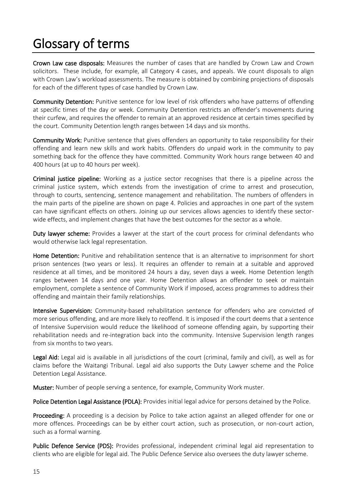## <span id="page-16-0"></span>Glossary of terms

Crown Law case disposals: Measures the number of cases that are handled by Crown Law and Crown solicitors. These include, for example, all Category 4 cases, and appeals. We count disposals to align with Crown Law's workload assessments. The measure is obtained by combining projections of disposals for each of the different types of case handled by Crown Law.

Community Detention: Punitive sentence for low level of risk offenders who have patterns of offending at specific times of the day or week. Community Detention restricts an offender's movements during their curfew, and requires the offender to remain at an approved residence at certain times specified by the court. Community Detention length ranges between 14 days and six months.

Community Work: Punitive sentence that gives offenders an opportunity to take responsibility for their offending and learn new skills and work habits. Offenders do unpaid work in the community to pay something back for the offence they have committed. Community Work hours range between 40 and 400 hours (at up to 40 hours per week).

Criminal justice pipeline: Working as a justice sector recognises that there is a pipeline across the criminal justice system, which extends from the investigation of crime to arrest and prosecution, through to courts, sentencing, sentence management and rehabilitation. The numbers of offenders in the main parts of the pipeline are shown on page [4.](#page-5-0) Policies and approaches in one part of the system can have significant effects on others. Joining up our services allows agencies to identify these sectorwide effects, and implement changes that have the best outcomes for the sector as a whole.

Duty lawyer scheme: Provides a lawyer at the start of the court process for criminal defendants who would otherwise lack legal representation.

Home Detention: Punitive and rehabilitation sentence that is an alternative to imprisonment for short prison sentences (two years or less). It requires an offender to remain at a suitable and approved residence at all times, and be monitored 24 hours a day, seven days a week. Home Detention length ranges between 14 days and one year. Home Detention allows an offender to seek or maintain employment, complete a sentence of Community Work if imposed, access programmes to address their offending and maintain their family relationships.

Intensive Supervision: Community-based rehabilitation sentence for offenders who are convicted of more serious offending, and are more likely to reoffend. It is imposed if the court deems that a sentence of Intensive Supervision would reduce the likelihood of someone offending again, by supporting their rehabilitation needs and re-integration back into the community. Intensive Supervision length ranges from six months to two years.

Legal Aid: Legal aid is available in all jurisdictions of the court (criminal, family and civil), as well as for claims before the Waitangi Tribunal. Legal aid also supports the Duty Lawyer scheme and the Police Detention Legal Assistance.

Muster: Number of people serving a sentence, for example, Community Work muster.

Police Detention Legal Assistance (PDLA): Provides initial legal advice for persons detained by the Police.

Proceeding: A proceeding is a decision by Police to take action against an alleged offender for one or more offences. Proceedings can be by either court action, such as prosecution, or non-court action, such as a formal warning.

Public Defence Service (PDS): Provides professional, independent criminal legal aid representation to clients who are eligible for legal aid. The Public Defence Service also oversees the duty lawyer scheme.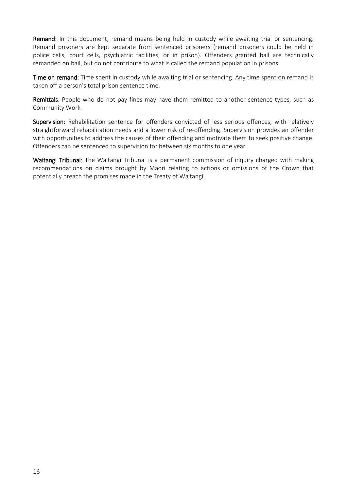Remand: In this document, remand means being held in custody while awaiting trial or sentencing. Remand prisoners are kept separate from sentenced prisoners (remand prisoners could be held in police cells, court cells, psychiatric facilities, or in prison). Offenders granted bail are technically remanded on bail, but do not contribute to what is called the remand population in prisons.

Time on remand: Time spent in custody while awaiting trial or sentencing. Any time spent on remand is taken off a person's total prison sentence time.

Remittals: People who do not pay fines may have them remitted to another sentence types, such as Community Work*.*

Supervision: Rehabilitation sentence for offenders convicted of less serious offences, with relatively straightforward rehabilitation needs and a lower risk of re-offending. Supervision provides an offender with opportunities to address the causes of their offending and motivate them to seek positive change. Offenders can be sentenced to supervision for between six months to one year.

Waitangi Tribunal: The Waitangi Tribunal is a permanent commission of inquiry charged with making recommendations on claims brought by Māori relating to actions or omissions of the Crown that potentially breach the promises made in the Treaty of Waitangi.